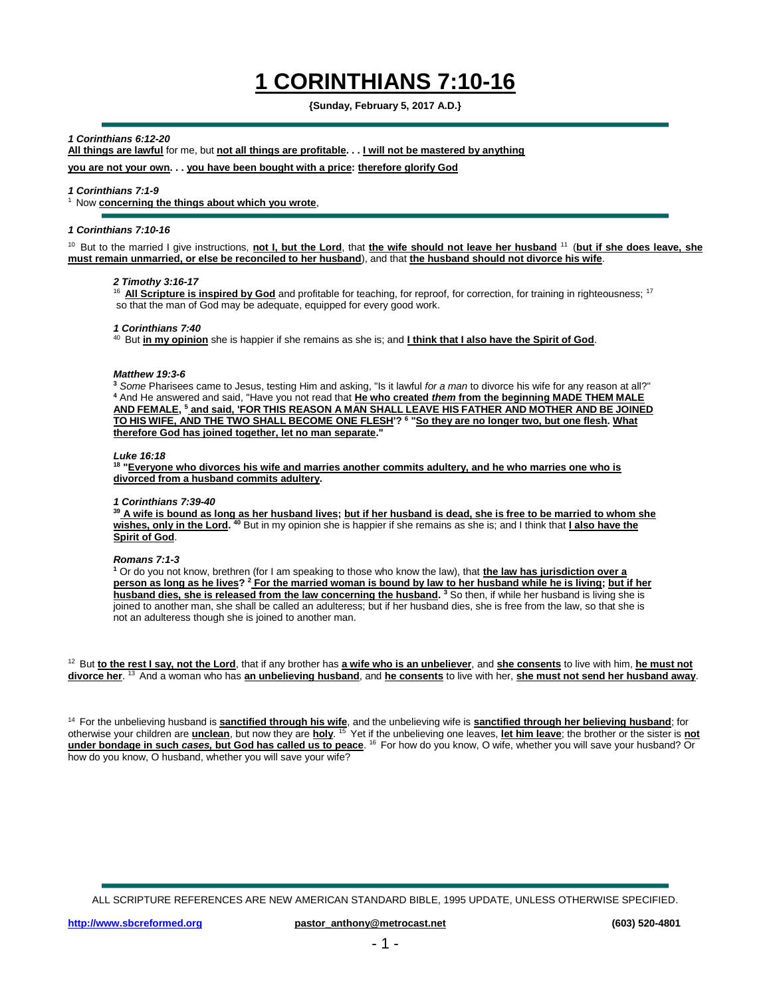# **1 CORINTHIANS 7:10-16**

# **{Sunday, February 5, 2017 A.D.}**

# *1 Corinthians 6:12-20*

**All things are lawful** for me, but **not all things are profitable. . . I will not be mastered by anything**

**you are not your own. . . you have been bought with a price: therefore glorify God**

### *1 Corinthians 7:1-9*

<sup>1</sup> Now **concerning the things about which you wrote**,

# *1 Corinthians 7:10-16*

<sup>10</sup> But to the married I give instructions, not I, but the Lord, that the wife should not leave her husband <sup>11</sup> (but if she does leave, she **must remain unmarried, or else be reconciled to her husband**), and that **the husband should not divorce his wife**.

# *2 Timothy 3:16-17*

<sup>16</sup> All Scripture is inspired by God and profitable for teaching, for reproof, for correction, for training in righteousness; <sup>17</sup> so that the man of God may be adequate, equipped for every good work.

# *1 Corinthians 7:40*

<sup>40</sup> But *in my opinion* she is happier if she remains as she is; and *I think that I also have the Spirit of God.* 

#### *Matthew 19:3-6*

**<sup>3</sup>** *Some* Pharisees came to Jesus, testing Him and asking, "Is it lawful *for a man* to divorce his wife for any reason at all?" **<sup>4</sup>** And He answered and said, "Have you not read that **He who created** *them* **from the beginning MADE THEM MALE AND FEMALE, <sup>5</sup> and said, 'FOR THIS REASON A MAN SHALL LEAVE HIS FATHER AND MOTHER AND BE JOINED TO HIS WIFE, AND THE TWO SHALL BECOME ONE FLESH'? <sup>6</sup> "So they are no longer two, but one flesh. What therefore God has joined together, let no man separate."**

### *Luke 16:18*

**18 "Everyone who divorces his wife and marries another commits adultery, and he who marries one who is divorced from a husband commits adultery.**

### *1 Corinthians 7:39-40*

**<sup>39</sup> A wife is bound as long as her husband lives; but if her husband is dead, she is free to be married to whom she wishes, only in the Lord. <sup>40</sup>** But in my opinion she is happier if she remains as she is; and I think that **I also have the Spirit of God**.

### *Romans 7:1-3*

**<sup>1</sup>** Or do you not know, brethren (for I am speaking to those who know the law), that **the law has jurisdiction over a person as long as he lives? <sup>2</sup> For the married woman is bound by law to her husband while he is living; but if her husband dies, she is released from the law concerning the husband. <sup>3</sup>** So then, if while her husband is living she is joined to another man, she shall be called an adulteress; but if her husband dies, she is free from the law, so that she is not an adulteress though she is joined to another man.

<sup>12</sup> But **to the rest I say, not the Lord**, that if any brother has a wife who is an unbeliever, and she consents to live with him, he must not **divorce her**. <sup>13</sup>And a woman who has **an unbelieving husband**, and **he consents** to live with her, **she must not send her husband away**.

<sup>14</sup> For the unbelieving husband is **sanctified through his wife**, and the unbelieving wife is **sanctified through her believing husband**; for otherwise your children are **unclean**, but now they are **holy**. <sup>15</sup>Yet if the unbelieving one leaves, **let him leave**; the brother or the sister is **not under bondage in such** *cases***, but God has called us to peace**. <sup>16</sup> For how do you know, O wife, whether you will save your husband? Or how do you know, O husband, whether you will save your wife?

ALL SCRIPTURE REFERENCES ARE NEW AMERICAN STANDARD BIBLE, 1995 UPDATE, UNLESS OTHERWISE SPECIFIED.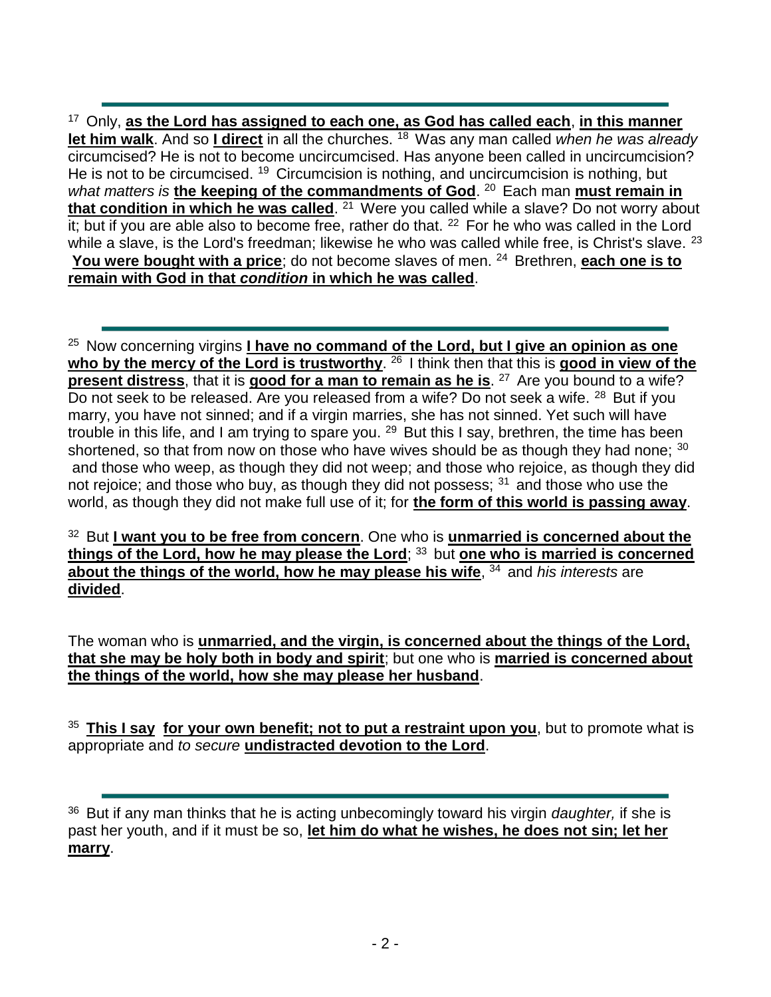<sup>17</sup>Only, **as the Lord has assigned to each one, as God has called each**, **in this manner let him walk**. And so I direct in all the churches. <sup>18</sup> Was any man called *when he was already* circumcised? He is not to become uncircumcised. Has anyone been called in uncircumcision? He is not to be circumcised. <sup>19</sup> Circumcision is nothing, and uncircumcision is nothing, but what matters is the keeping of the commandments of God.<sup>20</sup> Each man must remain in **that condition in which he was called**. <sup>21</sup> Were you called while a slave? Do not worry about it; but if you are able also to become free, rather do that.  $22$  For he who was called in the Lord while a slave, is the Lord's freedman; likewise he who was called while free, is Christ's slave. <sup>23</sup> **You were bought with a price**; do not become slaves of men. <sup>24</sup> Brethren, each one is to **remain with God in that** *condition* **in which he was called**.

<sup>25</sup> Now concerning virgins *I have no command of the Lord, but I give an opinion as one* who by the mercy of the Lord is trustworthy. <sup>26</sup> I think then that this is good in view of the **present distress**, that it is **good for a man to remain as he is**. <sup>27</sup> Are you bound to a wife? Do not seek to be released. Are you released from a wife? Do not seek a wife. <sup>28</sup> But if you marry, you have not sinned; and if a virgin marries, she has not sinned. Yet such will have trouble in this life, and I am trying to spare you.  $29$  But this I say, brethren, the time has been shortened, so that from now on those who have wives should be as though they had none;  $30$ and those who weep, as though they did not weep; and those who rejoice, as though they did not rejoice; and those who buy, as though they did not possess;  $31$  and those who use the world, as though they did not make full use of it; for **the form of this world is passing away**.

<sup>32</sup> But I want you to be free from concern. One who is unmarried is concerned about the **things of the Lord, how he may please the Lord; 33 but one who is married is concerned about the things of the world, how he may please his wife**, <sup>34</sup> and *his interests* are **divided**.

The woman who is **unmarried, and the virgin, is concerned about the things of the Lord, that she may be holy both in body and spirit**; but one who is **married is concerned about the things of the world, how she may please her husband**.

<sup>35</sup>**This I say for your own benefit; not to put a restraint upon you**, but to promote what is appropriate and *to secure* **undistracted devotion to the Lord**.

<sup>&</sup>lt;sup>36</sup> But if any man thinks that he is acting unbecomingly toward his virgin *daughter*, if she is past her youth, and if it must be so, **let him do what he wishes, he does not sin; let her marry**.